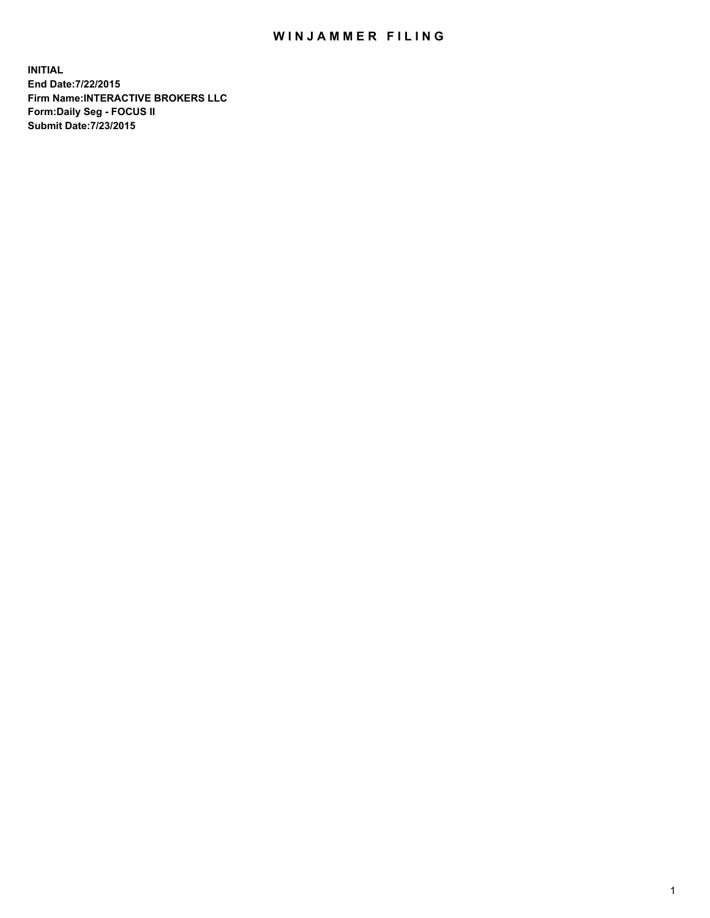## WIN JAMMER FILING

**INITIAL End Date:7/22/2015 Firm Name:INTERACTIVE BROKERS LLC Form:Daily Seg - FOCUS II Submit Date:7/23/2015**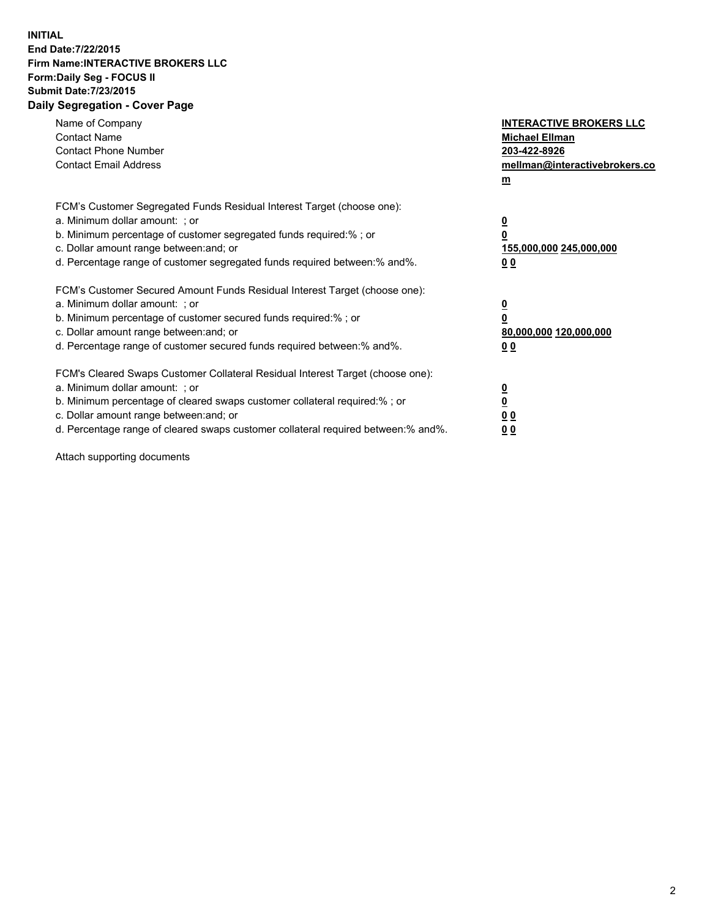## **INITIAL End Date:7/22/2015 Firm Name:INTERACTIVE BROKERS LLC Form:Daily Seg - FOCUS II Submit Date:7/23/2015 Daily Segregation - Cover Page**

| Name of Company<br><b>Contact Name</b><br><b>Contact Phone Number</b><br><b>Contact Email Address</b>                                                                                                                                                                                                                          | <b>INTERACTIVE BROKERS LLC</b><br><b>Michael Ellman</b><br>203-422-8926<br>mellman@interactivebrokers.co<br>$m$ |
|--------------------------------------------------------------------------------------------------------------------------------------------------------------------------------------------------------------------------------------------------------------------------------------------------------------------------------|-----------------------------------------------------------------------------------------------------------------|
| FCM's Customer Segregated Funds Residual Interest Target (choose one):<br>a. Minimum dollar amount: ; or<br>b. Minimum percentage of customer segregated funds required:% ; or<br>c. Dollar amount range between: and; or<br>d. Percentage range of customer segregated funds required between: % and %.                       | $\overline{\mathbf{0}}$<br>0<br>155,000,000 245,000,000<br>00                                                   |
| FCM's Customer Secured Amount Funds Residual Interest Target (choose one):<br>a. Minimum dollar amount: ; or<br>b. Minimum percentage of customer secured funds required:%; or<br>c. Dollar amount range between: and; or<br>d. Percentage range of customer secured funds required between: % and %.                          | $\overline{\mathbf{0}}$<br>0<br>80,000,000 120,000,000<br>0 <sub>0</sub>                                        |
| FCM's Cleared Swaps Customer Collateral Residual Interest Target (choose one):<br>a. Minimum dollar amount: ; or<br>b. Minimum percentage of cleared swaps customer collateral required:% ; or<br>c. Dollar amount range between: and; or<br>d. Percentage range of cleared swaps customer collateral required between:% and%. | $\overline{\mathbf{0}}$<br>$\underline{\mathbf{0}}$<br>0 <sub>0</sub><br>0 <sub>0</sub>                         |

Attach supporting documents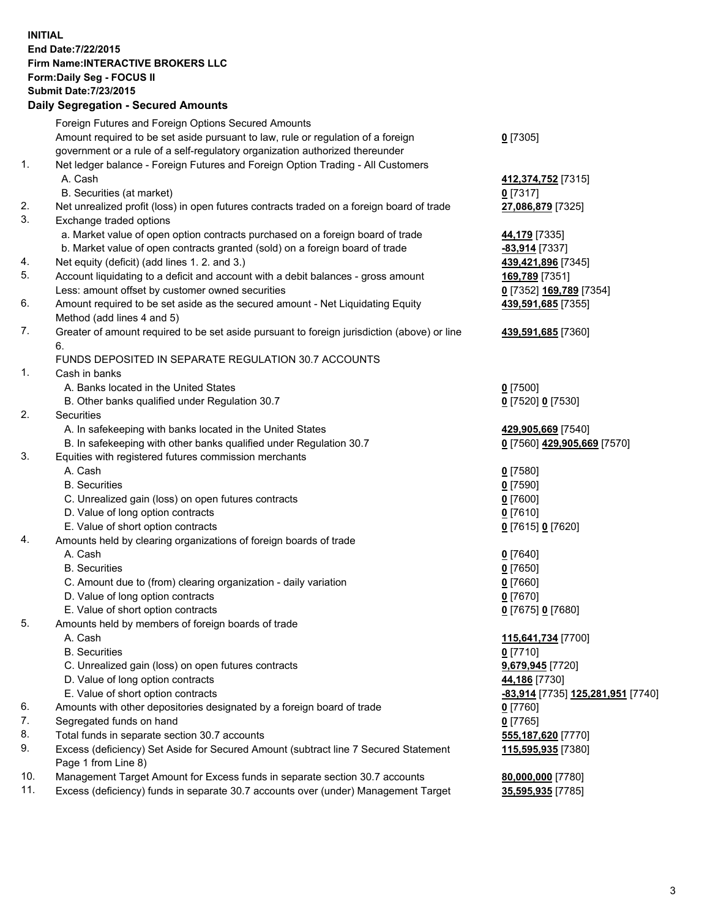## **INITIAL End Date:7/22/2015 Firm Name:INTERACTIVE BROKERS LLC Form:Daily Seg - FOCUS II Submit Date:7/23/2015 Daily Segregation - Secured Amounts**

|     | Foreign Futures and Foreign Options Secured Amounts                                         |                                                 |
|-----|---------------------------------------------------------------------------------------------|-------------------------------------------------|
|     | Amount required to be set aside pursuant to law, rule or regulation of a foreign            | $0$ [7305]                                      |
|     | government or a rule of a self-regulatory organization authorized thereunder                |                                                 |
| 1.  | Net ledger balance - Foreign Futures and Foreign Option Trading - All Customers             |                                                 |
|     | A. Cash                                                                                     | 412,374,752 [7315]                              |
|     | B. Securities (at market)                                                                   | $0$ [7317]                                      |
| 2.  | Net unrealized profit (loss) in open futures contracts traded on a foreign board of trade   | 27,086,879 [7325]                               |
| 3.  | Exchange traded options                                                                     |                                                 |
|     | a. Market value of open option contracts purchased on a foreign board of trade              | 44,179 [7335]                                   |
|     | b. Market value of open contracts granted (sold) on a foreign board of trade                | -83,914 [7337]                                  |
| 4.  | Net equity (deficit) (add lines 1. 2. and 3.)                                               | 439,421,896 [7345]                              |
| 5.  | Account liquidating to a deficit and account with a debit balances - gross amount           | 169,789 [7351]                                  |
|     | Less: amount offset by customer owned securities                                            | 0 [7352] 169,789 [7354]                         |
| 6.  | Amount required to be set aside as the secured amount - Net Liquidating Equity              | 439,591,685 [7355]                              |
|     | Method (add lines 4 and 5)                                                                  |                                                 |
| 7.  | Greater of amount required to be set aside pursuant to foreign jurisdiction (above) or line | 439,591,685 [7360]                              |
|     | 6.                                                                                          |                                                 |
|     | FUNDS DEPOSITED IN SEPARATE REGULATION 30.7 ACCOUNTS                                        |                                                 |
| 1.  | Cash in banks                                                                               |                                                 |
|     | A. Banks located in the United States                                                       | $0$ [7500]                                      |
|     | B. Other banks qualified under Regulation 30.7                                              | 0 [7520] 0 [7530]                               |
| 2.  | Securities                                                                                  |                                                 |
|     | A. In safekeeping with banks located in the United States                                   | 429,905,669 [7540]                              |
|     | B. In safekeeping with other banks qualified under Regulation 30.7                          | 0 [7560] 429,905,669 [7570]                     |
| 3.  | Equities with registered futures commission merchants                                       |                                                 |
|     | A. Cash                                                                                     | $0$ [7580]                                      |
|     | <b>B.</b> Securities                                                                        | $0$ [7590]                                      |
|     | C. Unrealized gain (loss) on open futures contracts                                         | $0$ [7600]                                      |
|     | D. Value of long option contracts                                                           | $0$ [7610]                                      |
|     | E. Value of short option contracts                                                          | 0 [7615] 0 [7620]                               |
| 4.  | Amounts held by clearing organizations of foreign boards of trade                           |                                                 |
|     | A. Cash                                                                                     | $0$ [7640]                                      |
|     | <b>B.</b> Securities                                                                        | $0$ [7650]                                      |
|     | C. Amount due to (from) clearing organization - daily variation                             | $0$ [7660]                                      |
|     | D. Value of long option contracts                                                           | $0$ [7670]                                      |
|     | E. Value of short option contracts                                                          | 0 [7675] 0 [7680]                               |
| 5.  | Amounts held by members of foreign boards of trade                                          |                                                 |
|     | A. Cash                                                                                     | 115,641,734 [7700]                              |
|     | <b>B.</b> Securities                                                                        | $0$ [7710]                                      |
|     | C. Unrealized gain (loss) on open futures contracts                                         | 9,679,945 [7720]                                |
|     | D. Value of long option contracts                                                           | 44,186 [7730]                                   |
|     | E. Value of short option contracts                                                          | <u>-83,914</u> [7735] <u>125,281,951</u> [7740] |
| 6.  | Amounts with other depositories designated by a foreign board of trade                      | $0$ [7760]                                      |
| 7.  | Segregated funds on hand                                                                    | $0$ [7765]                                      |
| 8.  | Total funds in separate section 30.7 accounts                                               | 555,187,620 [7770]                              |
| 9.  | Excess (deficiency) Set Aside for Secured Amount (subtract line 7 Secured Statement         | 115,595,935 [7380]                              |
|     | Page 1 from Line 8)                                                                         |                                                 |
| 10. | Management Target Amount for Excess funds in separate section 30.7 accounts                 | 80,000,000 [7780]                               |
| 11. | Excess (deficiency) funds in separate 30.7 accounts over (under) Management Target          |                                                 |
|     |                                                                                             | 35,595,935 [7785]                               |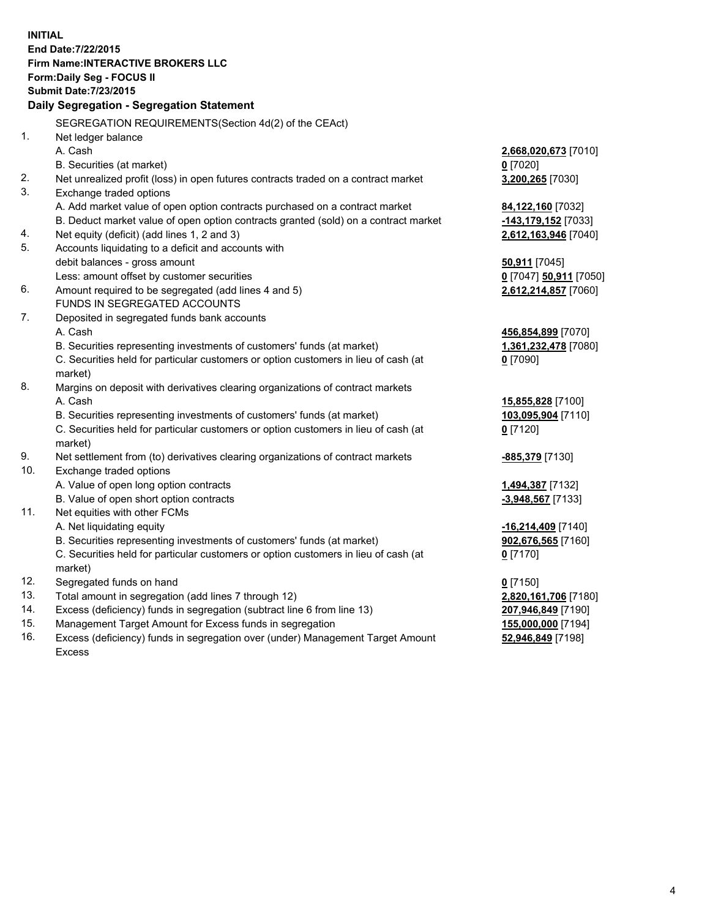**INITIAL End Date:7/22/2015 Firm Name:INTERACTIVE BROKERS LLC Form:Daily Seg - FOCUS II Submit Date:7/23/2015 Daily Segregation - Segregation Statement** SEGREGATION REQUIREMENTS(Section 4d(2) of the CEAct) 1. Net ledger balance A. Cash **2,668,020,673** [7010] B. Securities (at market) **0** [7020] 2. Net unrealized profit (loss) in open futures contracts traded on a contract market **3,200,265** [7030] 3. Exchange traded options A. Add market value of open option contracts purchased on a contract market **84,122,160** [7032] B. Deduct market value of open option contracts granted (sold) on a contract market **-143,179,152** [7033] 4. Net equity (deficit) (add lines 1, 2 and 3) **2,612,163,946** [7040] 5. Accounts liquidating to a deficit and accounts with debit balances - gross amount **50,911** [7045] Less: amount offset by customer securities **0** [7047] **50,911** [7050] 6. Amount required to be segregated (add lines 4 and 5) **2,612,214,857** [7060] FUNDS IN SEGREGATED ACCOUNTS 7. Deposited in segregated funds bank accounts A. Cash **456,854,899** [7070] B. Securities representing investments of customers' funds (at market) **1,361,232,478** [7080] C. Securities held for particular customers or option customers in lieu of cash (at market) **0** [7090] 8. Margins on deposit with derivatives clearing organizations of contract markets A. Cash **15,855,828** [7100] B. Securities representing investments of customers' funds (at market) **103,095,904** [7110] C. Securities held for particular customers or option customers in lieu of cash (at market) **0** [7120] 9. Net settlement from (to) derivatives clearing organizations of contract markets **-885,379** [7130] 10. Exchange traded options A. Value of open long option contracts **1,494,387** [7132] B. Value of open short option contracts **-3,948,567** [7133] 11. Net equities with other FCMs A. Net liquidating equity **-16,214,409** [7140] B. Securities representing investments of customers' funds (at market) **902,676,565** [7160] C. Securities held for particular customers or option customers in lieu of cash (at market) **0** [7170] 12. Segregated funds on hand **0** [7150] 13. Total amount in segregation (add lines 7 through 12) **2,820,161,706** [7180] 14. Excess (deficiency) funds in segregation (subtract line 6 from line 13) **207,946,849** [7190] 15. Management Target Amount for Excess funds in segregation **155,000,000** [7194]

16. Excess (deficiency) funds in segregation over (under) Management Target Amount Excess

**52,946,849** [7198]